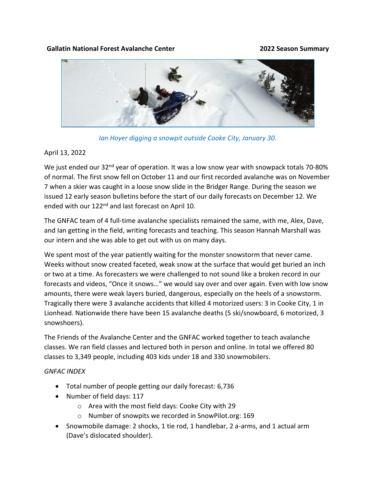## **Gallatin National Forest Avalanche Center 2022 Season Summary**



*Ian Hoyer digging a snowpit outside Cooke City, January 30.*

## April 13, 2022

We just ended our 32<sup>nd</sup> year of operation. It was a low snow year with snowpack totals 70-80% of normal. The first snow fell on October 11 and our first recorded avalanche was on November 7 when a skier was caught in a loose snow slide in the Bridger Range. During the season we issued 12 early season bulletins before the start of our daily forecasts on December 12. We ended with our 122<sup>nd</sup> and last forecast on April 10.

The GNFAC team of 4 full-time avalanche specialists remained the same, with me, Alex, Dave, and Ian getting in the field, writing forecasts and teaching. This season Hannah Marshall was our intern and she was able to get out with us on many days.

We spent most of the year patiently waiting for the monster snowstorm that never came. Weeks without snow created faceted, weak snow at the surface that would get buried an inch or two at a time. As forecasters we were challenged to not sound like a broken record in our forecasts and videos, "Once it snows…" we would say over and over again. Even with low snow amounts, there were weak layers buried, dangerous, especially on the heels of a snowstorm. Tragically there were 3 avalanche accidents that killed 4 motorized users: 3 in Cooke City, 1 in Lionhead. Nationwide there have been 15 avalanche deaths (5 ski/snowboard, 6 motorized, 3 snowshoers).

The Friends of the Avalanche Center and the GNFAC worked together to teach avalanche classes. We ran field classes and lectured both in person and online. In total we offered 80 classes to 3,349 people, including 403 kids under 18 and 330 snowmobilers.

## *GNFAC INDEX*

- Total number of people getting our daily forecast: 6,736
- Number of field days: 117
	- o Area with the most field days: Cooke City with 29
	- o Number of snowpits we recorded in SnowPilot.org: 169
- Snowmobile damage: 2 shocks, 1 tie rod, 1 handlebar, 2 a-arms, and 1 actual arm (Dave's dislocated shoulder).